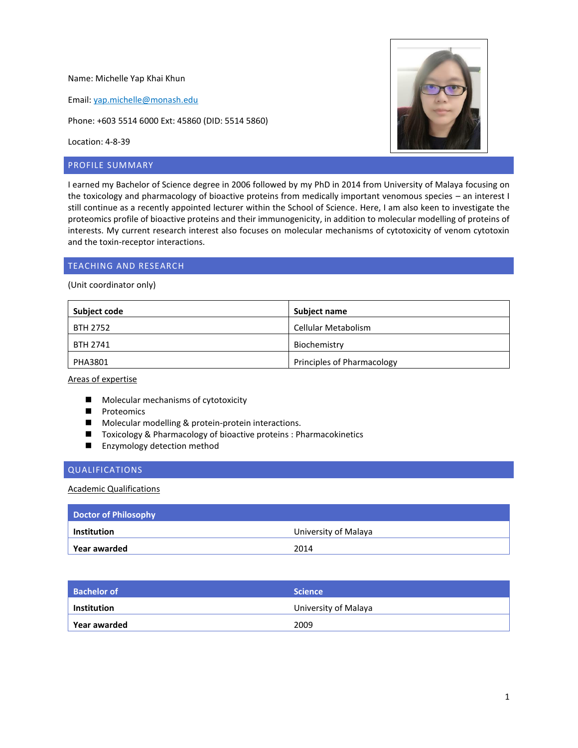Name: Michelle Yap Khai Khun

Email: [yap.michelle@monash.edu](mailto:yap.michelle@monash.edu)

Phone: +603 5514 6000 Ext: 45860 (DID: 5514 5860)

Location: 4-8-39

# PROFILE SUMMARY

I earned my Bachelor of Science degree in 2006 followed by my PhD in 2014 from University of Malaya focusing on the toxicology and pharmacology of bioactive proteins from medically important venomous species – an interest I still continue as a recently appointed lecturer within the School of Science. Here, I am also keen to investigate the proteomics profile of bioactive proteins and their immunogenicity, in addition to molecular modelling of proteins of interests. My current research interest also focuses on molecular mechanisms of cytotoxicity of venom cytotoxin and the toxin-receptor interactions.

# TEACHING AND RESEARCH

(Unit coordinator only)

| <b>Subject code</b> | <b>Subject name</b>        |
|---------------------|----------------------------|
| BTH 2752            | Cellular Metabolism        |
| BTH 2741            | Biochemistry               |
| PHA3801             | Principles of Pharmacology |

Areas of expertise

- **Molecular mechanisms of cytotoxicity**
- **Proteomics**
- **Molecular modelling & protein-protein interactions.**
- Toxicology & Pharmacology of bioactive proteins : Pharmacokinetics
- **Enzymology detection method**

# QUALIFICATIONS

#### Academic Qualifications

| Doctor of Philosophy |                      |
|----------------------|----------------------|
| $\mid$ Institution   | University of Malaya |
| <b>Year awarded</b>  | 2014                 |

| <b>Bachelor of</b>  | Science \            |
|---------------------|----------------------|
| $\vert$ Institution | University of Malaya |
| ∣ Year awarded      | 2009                 |

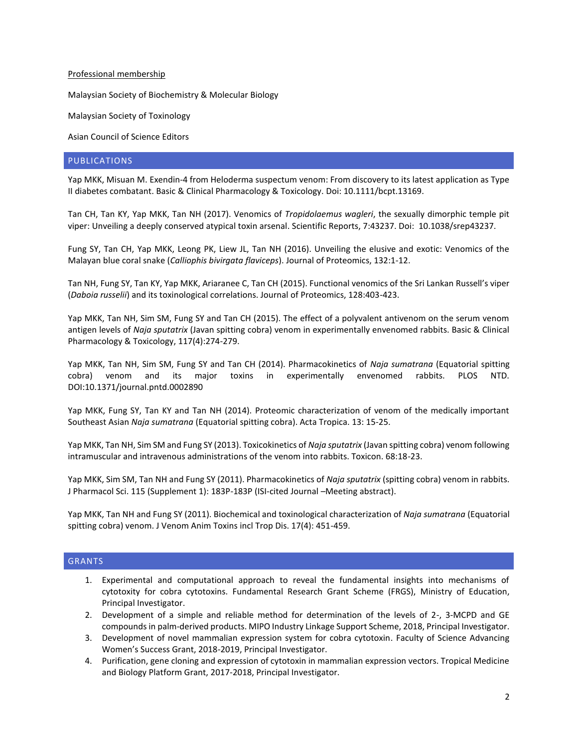#### Professional membership

Malaysian Society of Biochemistry & Molecular Biology

Malaysian Society of Toxinology

Asian Council of Science Editors

# PUBLICATIONS

Yap MKK, Misuan M. Exendin-4 from Heloderma suspectum venom: From discovery to its latest application as Type II diabetes combatant. Basic & Clinical Pharmacology & Toxicology. Doi: 10.1111/bcpt.13169.

Tan CH, Tan KY, Yap MKK, Tan NH (2017). Venomics of *Tropidolaemus wagleri*, the sexually dimorphic temple pit viper: Unveiling a deeply conserved atypical toxin arsenal. Scientific Reports, 7:43237. Doi: 10.1038/srep43237.

Fung SY, Tan CH, Yap MKK, Leong PK, Liew JL, Tan NH (2016). Unveiling the elusive and exotic: Venomics of the Malayan blue coral snake (*Calliophis bivirgata flaviceps*). Journal of Proteomics, 132:1-12.

Tan NH, Fung SY, Tan KY, Yap MKK, Ariaranee C, Tan CH (2015). Functional venomics of the Sri Lankan Russell's viper (*Daboia russelii*) and its toxinological correlations. Journal of Proteomics, 128:403-423.

Yap MKK, Tan NH, Sim SM, Fung SY and Tan CH (2015). The effect of a polyvalent antivenom on the serum venom antigen levels of *Naja sputatrix* (Javan spitting cobra) venom in experimentally envenomed rabbits. Basic & Clinical Pharmacology & Toxicology, 117(4):274-279.

Yap MKK, Tan NH, Sim SM, Fung SY and Tan CH (2014). Pharmacokinetics of *Naja sumatrana* (Equatorial spitting cobra) venom and its major toxins in experimentally envenomed rabbits. PLOS NTD. DOI:10.1371/journal.pntd.0002890

Yap MKK, Fung SY, Tan KY and Tan NH (2014). Proteomic characterization of venom of the medically important Southeast Asian *Naja sumatrana* (Equatorial spitting cobra). Acta Tropica. 13: 15-25.

Yap MKK, Tan NH, Sim SM and Fung SY (2013). Toxicokinetics of *Naja sputatrix* (Javan spitting cobra) venom following intramuscular and intravenous administrations of the venom into rabbits. Toxicon. 68:18-23.

Yap MKK, Sim SM, Tan NH and Fung SY (2011). Pharmacokinetics of *Naja sputatrix* (spitting cobra) venom in rabbits. J Pharmacol Sci. 115 (Supplement 1): 183P-183P (ISI-cited Journal –Meeting abstract).

Yap MKK, Tan NH and Fung SY (2011). Biochemical and toxinological characterization of *Naja sumatrana* (Equatorial spitting cobra) venom. J Venom Anim Toxins incl Trop Dis. 17(4): 451-459.

# **GRANTS**

- 1. Experimental and computational approach to reveal the fundamental insights into mechanisms of cytotoxity for cobra cytotoxins. Fundamental Research Grant Scheme (FRGS), Ministry of Education, Principal Investigator.
- 2. Development of a simple and reliable method for determination of the levels of 2-, 3-MCPD and GE compounds in palm-derived products. MIPO Industry Linkage Support Scheme, 2018, Principal Investigator.
- 3. Development of novel mammalian expression system for cobra cytotoxin. Faculty of Science Advancing Women's Success Grant, 2018-2019, Principal Investigator.
- 4. Purification, gene cloning and expression of cytotoxin in mammalian expression vectors. Tropical Medicine and Biology Platform Grant, 2017-2018, Principal Investigator.